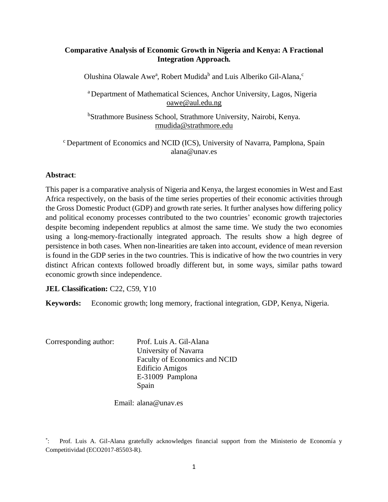# **Comparative Analysis of Economic Growth in Nigeria and Kenya: A Fractional Integration Approach.**

Olushina Olawale Awe<sup>a</sup>, Robert Mudida<sup>b</sup> and Luis Alberiko Gil-Alana,<sup>c</sup>

<sup>a</sup> Department of Mathematical Sciences, Anchor University, Lagos, Nigeria [oawe@aul.edu.ng](mailto:oawe@aul.edu.ng)

<sup>b</sup>Strathmore Business School, Strathmore University, Nairobi, Kenya. [rmudida@strathmore.edu](mailto:rmudida@strathmore.edu)

<sup>c</sup> Department of Economics and NCID (ICS), University of Navarra, Pamplona, Spain alana@unav.es

# **Abstract**:

This paper is a comparative analysis of Nigeria and Kenya, the largest economies in West and East Africa respectively, on the basis of the time series properties of their economic activities through the Gross Domestic Product (GDP) and growth rate series. It further analyses how differing policy and political economy processes contributed to the two countries' economic growth trajectories despite becoming independent republics at almost the same time. We study the two economies using a long-memory-fractionally integrated approach. The results show a high degree of persistence in both cases. When non-linearities are taken into account, evidence of mean reversion is found in the GDP series in the two countries. This is indicative of how the two countries in very distinct African contexts followed broadly different but, in some ways, similar paths toward economic growth since independence.

**JEL Classification: C22, C59, Y10** 

**Keywords:** Economic growth; long memory, fractional integration, GDP, Kenya, Nigeria.

| Corresponding author: | Prof. Luis A. Gil-Alana       |
|-----------------------|-------------------------------|
|                       | University of Navarra         |
|                       | Faculty of Economics and NCID |
|                       | Edificio Amigos               |
|                       | E-31009 Pamplona              |
|                       | Spain                         |

Email: alana@unav.es

 $\mathbb{Z}^*$ : Prof. Luis A. Gil-Alana gratefully acknowledges financial support from the Ministerio de Economía y Competitividad (ECO2017-85503-R).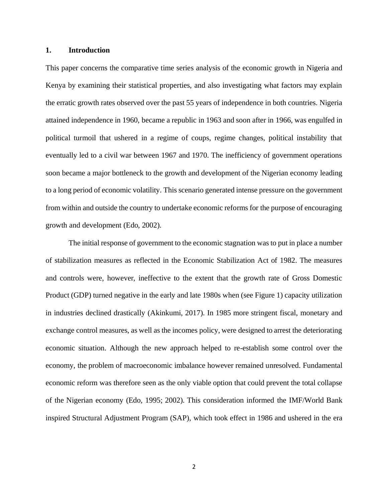### **1. Introduction**

This paper concerns the comparative time series analysis of the economic growth in Nigeria and Kenya by examining their statistical properties, and also investigating what factors may explain the erratic growth rates observed over the past 55 years of independence in both countries. Nigeria attained independence in 1960, became a republic in 1963 and soon after in 1966, was engulfed in political turmoil that ushered in a regime of coups, regime changes, political instability that eventually led to a civil war between 1967 and 1970. The inefficiency of government operations soon became a major bottleneck to the growth and development of the Nigerian economy leading to a long period of economic volatility. This scenario generated intense pressure on the government from within and outside the country to undertake economic reforms for the purpose of encouraging growth and development (Edo, 2002).

The initial response of government to the economic stagnation was to put in place a number of stabilization measures as reflected in the Economic Stabilization Act of 1982. The measures and controls were, however, ineffective to the extent that the growth rate of Gross Domestic Product (GDP) turned negative in the early and late 1980s when (see Figure 1) capacity utilization in industries declined drastically (Akinkumi, 2017). In 1985 more stringent fiscal, monetary and exchange control measures, as well as the incomes policy, were designed to arrest the deteriorating economic situation. Although the new approach helped to re-establish some control over the economy, the problem of macroeconomic imbalance however remained unresolved. Fundamental economic reform was therefore seen as the only viable option that could prevent the total collapse of the Nigerian economy (Edo, 1995; 2002). This consideration informed the IMF/World Bank inspired Structural Adjustment Program (SAP), which took effect in 1986 and ushered in the era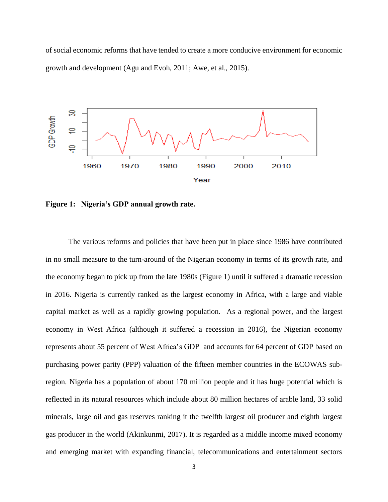of social economic reforms that have tended to create a more conducive environment for economic growth and development (Agu and Evoh, 2011; Awe, et al., 2015).



**Figure 1: Nigeria's GDP annual growth rate.**

The various reforms and policies that have been put in place since 1986 have contributed in no small measure to the turn-around of the Nigerian economy in terms of its growth rate, and the economy began to pick up from the late 1980s (Figure 1) until it suffered a dramatic recession in 2016. Nigeria is currently ranked as the largest economy in Africa, with a large and viable capital market as well as a rapidly growing population. As a regional power, and the largest economy in West Africa (although it suffered a recession in 2016), the Nigerian economy represents about 55 percent of West Africa's GDP and accounts for 64 percent of GDP based on purchasing power parity (PPP) valuation of the fifteen member countries in the ECOWAS subregion. Nigeria has a population of about 170 million people and it has huge potential which is reflected in its natural resources which include about 80 million hectares of arable land, 33 solid minerals, large oil and gas reserves ranking it the twelfth largest oil producer and eighth largest gas producer in the world (Akinkunmi, 2017). It is regarded as a middle income mixed economy and emerging market with expanding financial, telecommunications and entertainment sectors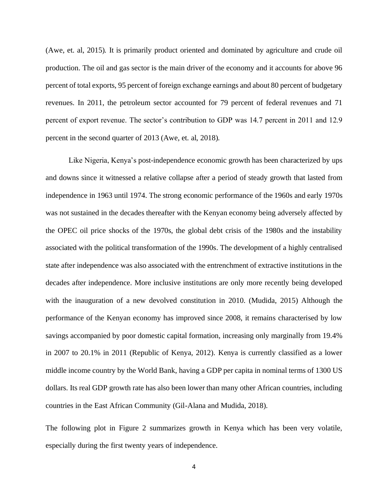(Awe, et. al, 2015). It is primarily product oriented and dominated by agriculture and crude oil production. The oil and gas sector is the main driver of the economy and it accounts for above 96 percent of total exports, 95 percent of foreign exchange earnings and about 80 percent of budgetary revenues. In 2011, the petroleum sector accounted for 79 percent of federal revenues and 71 percent of export revenue. The sector's contribution to GDP was 14.7 percent in 2011 and 12.9 percent in the second quarter of 2013 (Awe, et. al, 2018).

Like Nigeria, Kenya's post-independence economic growth has been characterized by ups and downs since it witnessed a relative collapse after a period of steady growth that lasted from independence in 1963 until 1974. The strong economic performance of the 1960s and early 1970s was not sustained in the decades thereafter with the Kenyan economy being adversely affected by the OPEC oil price shocks of the 1970s, the global debt crisis of the 1980s and the instability associated with the political transformation of the 1990s. The development of a highly centralised state after independence was also associated with the entrenchment of extractive institutions in the decades after independence. More inclusive institutions are only more recently being developed with the inauguration of a new devolved constitution in 2010. (Mudida, 2015) Although the performance of the Kenyan economy has improved since 2008, it remains characterised by low savings accompanied by poor domestic capital formation, increasing only marginally from 19.4% in 2007 to 20.1% in 2011 (Republic of Kenya, 2012). Kenya is currently classified as a lower middle income country by the World Bank, having a GDP per capita in nominal terms of 1300 US dollars. Its real GDP growth rate has also been lower than many other African countries, including countries in the East African Community (Gil-Alana and Mudida, 2018).

The following plot in Figure 2 summarizes growth in Kenya which has been very volatile, especially during the first twenty years of independence.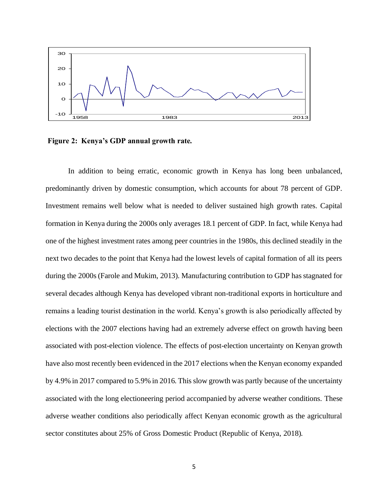

**Figure 2: Kenya's GDP annual growth rate.**

In addition to being erratic, economic growth in Kenya has long been unbalanced, predominantly driven by domestic consumption, which accounts for about 78 percent of GDP. Investment remains well below what is needed to deliver sustained high growth rates. Capital formation in Kenya during the 2000s only averages 18.1 percent of GDP. In fact, while Kenya had one of the highest investment rates among peer countries in the 1980s, this declined steadily in the next two decades to the point that Kenya had the lowest levels of capital formation of all its peers during the 2000s (Farole and Mukim, 2013). Manufacturing contribution to GDP has stagnated for several decades although Kenya has developed vibrant non-traditional exports in horticulture and remains a leading tourist destination in the world. Kenya's growth is also periodically affected by elections with the 2007 elections having had an extremely adverse effect on growth having been associated with post-election violence. The effects of post-election uncertainty on Kenyan growth have also most recently been evidenced in the 2017 elections when the Kenyan economy expanded by 4.9% in 2017 compared to 5.9% in 2016. This slow growth was partly because of the uncertainty associated with the long electioneering period accompanied by adverse weather conditions. These adverse weather conditions also periodically affect Kenyan economic growth as the agricultural sector constitutes about 25% of Gross Domestic Product (Republic of Kenya, 2018).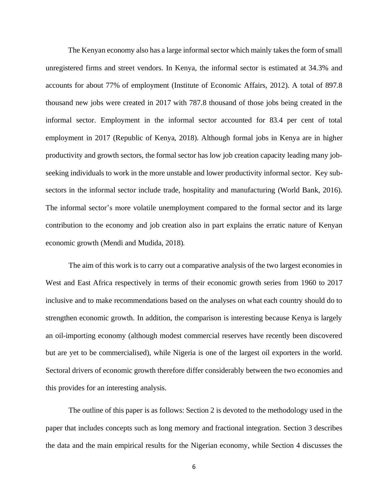The Kenyan economy also has a large informal sector which mainly takes the form of small unregistered firms and street vendors. In Kenya, the informal sector is estimated at 34.3% and accounts for about 77% of employment (Institute of Economic Affairs, 2012). A total of 897.8 thousand new jobs were created in 2017 with 787.8 thousand of those jobs being created in the informal sector. Employment in the informal sector accounted for 83.4 per cent of total employment in 2017 (Republic of Kenya, 2018). Although formal jobs in Kenya are in higher productivity and growth sectors, the formal sector has low job creation capacity leading many jobseeking individuals to work in the more unstable and lower productivity informal sector. Key subsectors in the informal sector include trade, hospitality and manufacturing (World Bank, 2016). The informal sector's more volatile unemployment compared to the formal sector and its large contribution to the economy and job creation also in part explains the erratic nature of Kenyan economic growth (Mendi and Mudida, 2018).

The aim of this work is to carry out a comparative analysis of the two largest economies in West and East Africa respectively in terms of their economic growth series from 1960 to 2017 inclusive and to make recommendations based on the analyses on what each country should do to strengthen economic growth. In addition, the comparison is interesting because Kenya is largely an oil-importing economy (although modest commercial reserves have recently been discovered but are yet to be commercialised), while Nigeria is one of the largest oil exporters in the world. Sectoral drivers of economic growth therefore differ considerably between the two economies and this provides for an interesting analysis.

The outline of this paper is as follows: Section 2 is devoted to the methodology used in the paper that includes concepts such as long memory and fractional integration. Section 3 describes the data and the main empirical results for the Nigerian economy, while Section 4 discusses the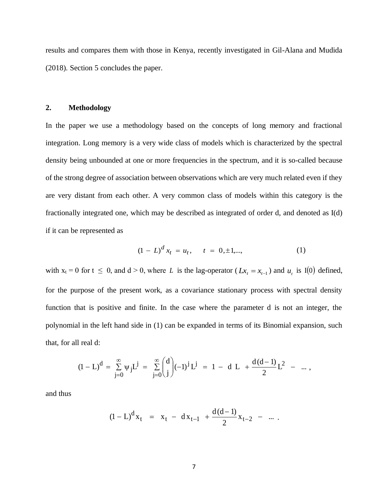results and compares them with those in Kenya, recently investigated in Gil-Alana and Mudida (2018). Section 5 concludes the paper.

### **2. Methodology**

In the paper we use a methodology based on the concepts of long memory and fractional integration. Long memory is a very wide class of models which is characterized by the spectral density being unbounded at one or more frequencies in the spectrum, and it is so-called because of the strong degree of association between observations which are very much related even if they are very distant from each other. A very common class of models within this category is the fractionally integrated one, which may be described as integrated of order d, and denoted as I(d) if it can be represented as

$$
(1 - L)^d x_t = u_t, \t t = 0, \pm 1, \dots,
$$
 (1)

with  $x_t = 0$  for  $t \le 0$ , and  $d > 0$ , where L is the lag-operator  $(Lx_t = x_{t-1})$  and  $u_t$  is I(0) defined, for the purpose of the present work, as a covariance stationary process with spectral density function that is positive and finite. In the case where the parameter d is not an integer, the polynomial in the left hand side in (1) can be expanded in terms of its Binomial expansion, such that, for all real d:

$$
(1 - L)^d = \sum_{j=0}^{\infty} \psi_j L^j = \sum_{j=0}^{\infty} {d \choose j} (-1)^j L^j = 1 - d L + \frac{d(d-1)}{2} L^2 - \dots,
$$

and thus

$$
(1 - L)^{d} x_{t} = x_{t} - dx_{t-1} + \frac{d(d-1)}{2} x_{t-2} - \dots
$$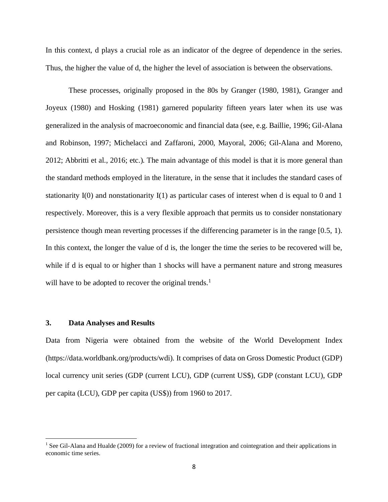In this context, d plays a crucial role as an indicator of the degree of dependence in the series. Thus, the higher the value of d, the higher the level of association is between the observations.

These processes, originally proposed in the 80s by Granger (1980, 1981), Granger and Joyeux (1980) and Hosking (1981) garnered popularity fifteen years later when its use was generalized in the analysis of macroeconomic and financial data (see, e.g. Baillie, 1996; Gil-Alana and Robinson, 1997; Michelacci and Zaffaroni, 2000, Mayoral, 2006; Gil-Alana and Moreno, 2012; Abbritti et al., 2016; etc.). The main advantage of this model is that it is more general than the standard methods employed in the literature, in the sense that it includes the standard cases of stationarity I(0) and nonstationarity I(1) as particular cases of interest when d is equal to 0 and 1 respectively. Moreover, this is a very flexible approach that permits us to consider nonstationary persistence though mean reverting processes if the differencing parameter is in the range [0.5, 1). In this context, the longer the value of d is, the longer the time the series to be recovered will be, while if d is equal to or higher than 1 shocks will have a permanent nature and strong measures will have to be adopted to recover the original trends.<sup>1</sup>

### **3. Data Analyses and Results**

Data from Nigeria were obtained from the website of the World Development Index (https://data.worldbank.org/products/wdi). It comprises of data on Gross Domestic Product (GDP) local currency unit series (GDP (current LCU), GDP (current US\$), GDP (constant LCU), GDP per capita (LCU), GDP per capita (US\$)) from 1960 to 2017.

<sup>&</sup>lt;sup>1</sup> See Gil-Alana and Hualde (2009) for a review of fractional integration and cointegration and their applications in economic time series.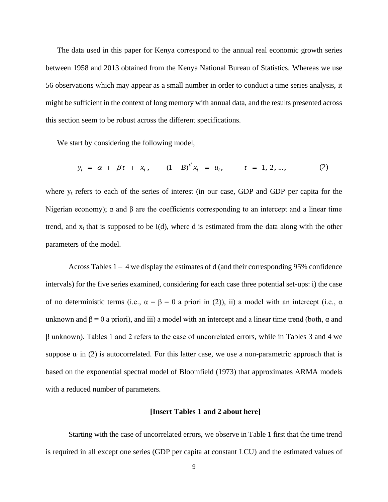The data used in this paper for Kenya correspond to the annual real economic growth series between 1958 and 2013 obtained from the Kenya National Bureau of Statistics. Whereas we use 56 observations which may appear as a small number in order to conduct a time series analysis, it might be sufficient in the context of long memory with annual data, and the results presented across this section seem to be robust across the different specifications.

We start by considering the following model,

$$
y_t = \alpha + \beta t + x_t
$$
,  $(1 - B)^d x_t = u_t$ ,  $t = 1, 2, ...,$  (2)

where y<sub>t</sub> refers to each of the series of interest (in our case, GDP and GDP per capita for the Nigerian economy);  $\alpha$  and  $\beta$  are the coefficients corresponding to an intercept and a linear time trend, and  $x_t$  that is supposed to be I(d), where d is estimated from the data along with the other parameters of the model.

Across Tables 1 – 4 we display the estimates of d (and their corresponding 95% confidence intervals) for the five series examined, considering for each case three potential set-ups: i) the case of no deterministic terms (i.e.,  $\alpha = \beta = 0$  a priori in (2)), ii) a model with an intercept (i.e.,  $\alpha$ unknown and  $\beta = 0$  a priori), and iii) a model with an intercept and a linear time trend (both,  $\alpha$  and β unknown). Tables 1 and 2 refers to the case of uncorrelated errors, while in Tables 3 and 4 we suppose  $u_t$  in (2) is autocorrelated. For this latter case, we use a non-parametric approach that is based on the exponential spectral model of Bloomfield (1973) that approximates ARMA models with a reduced number of parameters.

### **[Insert Tables 1 and 2 about here]**

Starting with the case of uncorrelated errors, we observe in Table 1 first that the time trend is required in all except one series (GDP per capita at constant LCU) and the estimated values of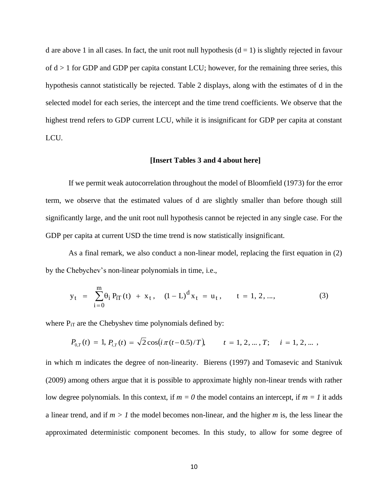d are above 1 in all cases. In fact, the unit root null hypothesis  $(d = 1)$  is slightly rejected in favour of  $d > 1$  for GDP and GDP per capita constant LCU; however, for the remaining three series, this hypothesis cannot statistically be rejected. Table 2 displays, along with the estimates of d in the selected model for each series, the intercept and the time trend coefficients. We observe that the highest trend refers to GDP current LCU, while it is insignificant for GDP per capita at constant LCU.

### **[Insert Tables 3 and 4 about here]**

If we permit weak autocorrelation throughout the model of Bloomfield (1973) for the error term, we observe that the estimated values of d are slightly smaller than before though still significantly large, and the unit root null hypothesis cannot be rejected in any single case. For the GDP per capita at current USD the time trend is now statistically insignificant.

As a final remark, we also conduct a non-linear model, replacing the first equation in (2) by the Chebychev's non-linear polynomials in time, i.e.,

$$
y_{t} = \sum_{i=0}^{m} \theta_{i} P_{iT}(t) + x_{t}, \quad (1 - L)^{d} x_{t} = u_{t}, \quad t = 1, 2, ..., \tag{3}
$$

where  $P_{iT}$  are the Chebyshev time polynomials defined by:

$$
P_{0,T}(t) = 1, P_{i,T}(t) = \sqrt{2}\cos(i\pi(t-0.5)/T), \qquad t = 1, 2, ..., T; \quad i = 1, 2, ...
$$

in which m indicates the degree of non-linearity. Bierens (1997) and Tomasevic and Stanivuk (2009) among others argue that it is possible to approximate highly non-linear trends with rather low degree polynomials. In this context, if  $m = 0$  the model contains an intercept, if  $m = 1$  it adds a linear trend, and if *m > 1* the model becomes non-linear, and the higher *m* is, the less linear the approximated deterministic component becomes. In this study, to allow for some degree of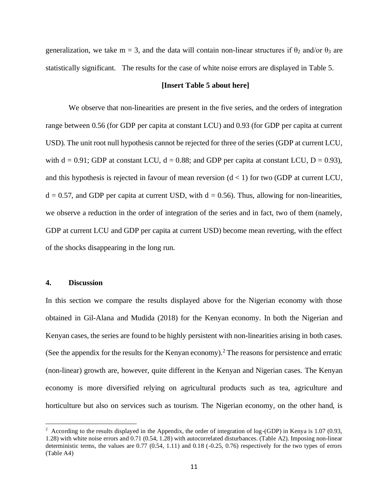generalization, we take m = 3, and the data will contain non-linear structures if  $\theta_2$  and/or  $\theta_3$  are statistically significant. The results for the case of white noise errors are displayed in Table 5.

#### **[Insert Table 5 about here]**

We observe that non-linearities are present in the five series, and the orders of integration range between 0.56 (for GDP per capita at constant LCU) and 0.93 (for GDP per capita at current USD). The unit root null hypothesis cannot be rejected for three of the series (GDP at current LCU, with  $d = 0.91$ ; GDP at constant LCU,  $d = 0.88$ ; and GDP per capita at constant LCU,  $D = 0.93$ ), and this hypothesis is rejected in favour of mean reversion  $(d < 1)$  for two (GDP at current LCU,  $d = 0.57$ , and GDP per capita at current USD, with  $d = 0.56$ ). Thus, allowing for non-linearities, we observe a reduction in the order of integration of the series and in fact, two of them (namely, GDP at current LCU and GDP per capita at current USD) become mean reverting, with the effect of the shocks disappearing in the long run.

### **4. Discussion**

In this section we compare the results displayed above for the Nigerian economy with those obtained in Gil-Alana and Mudida (2018) for the Kenyan economy. In both the Nigerian and Kenyan cases, the series are found to be highly persistent with non-linearities arising in both cases. (See the appendix for the results for the Kenyan economy).<sup>2</sup> The reasons for persistence and erratic (non-linear) growth are, however, quite different in the Kenyan and Nigerian cases. The Kenyan economy is more diversified relying on agricultural products such as tea, agriculture and horticulture but also on services such as tourism. The Nigerian economy, on the other hand, is

<sup>&</sup>lt;sup>2</sup> According to the results displayed in the Appendix, the order of integration of log-(GDP) in Kenya is 1.07 (0.93, 1.28) with white noise errors and 0.71 (0.54, 1.28) with autocorrelated disturbances. (Table A2). Imposing non-linear deterministic terms, the values are 0.77 (0.54, 1.11) and 0.18 (-0.25, 0.76) respectively for the two types of errors (Table A4)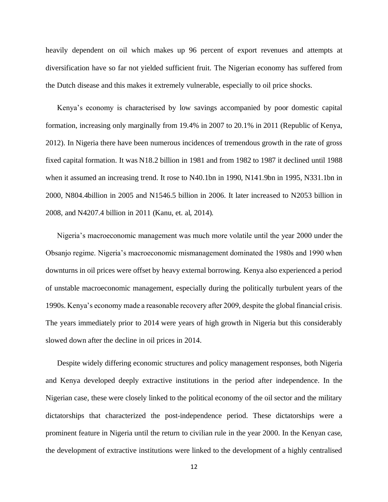heavily dependent on oil which makes up 96 percent of export revenues and attempts at diversification have so far not yielded sufficient fruit. The Nigerian economy has suffered from the Dutch disease and this makes it extremely vulnerable, especially to oil price shocks.

Kenya's economy is characterised by low savings accompanied by poor domestic capital formation, increasing only marginally from 19.4% in 2007 to 20.1% in 2011 (Republic of Kenya, 2012). In Nigeria there have been numerous incidences of tremendous growth in the rate of gross fixed capital formation. It was N18.2 billion in 1981 and from 1982 to 1987 it declined until 1988 when it assumed an increasing trend. It rose to N40.1bn in 1990, N141.9bn in 1995, N331.1bn in 2000, N804.4billion in 2005 and N1546.5 billion in 2006. It later increased to N2053 billion in 2008, and N4207.4 billion in 2011 (Kanu, et. al, 2014).

Nigeria's macroeconomic management was much more volatile until the year 2000 under the Obsanjo regime. Nigeria's macroeconomic mismanagement dominated the 1980s and 1990 when downturns in oil prices were offset by heavy external borrowing. Kenya also experienced a period of unstable macroeconomic management, especially during the politically turbulent years of the 1990s. Kenya's economy made a reasonable recovery after 2009, despite the global financial crisis. The years immediately prior to 2014 were years of high growth in Nigeria but this considerably slowed down after the decline in oil prices in 2014.

Despite widely differing economic structures and policy management responses, both Nigeria and Kenya developed deeply extractive institutions in the period after independence. In the Nigerian case, these were closely linked to the political economy of the oil sector and the military dictatorships that characterized the post-independence period. These dictatorships were a prominent feature in Nigeria until the return to civilian rule in the year 2000. In the Kenyan case, the development of extractive institutions were linked to the development of a highly centralised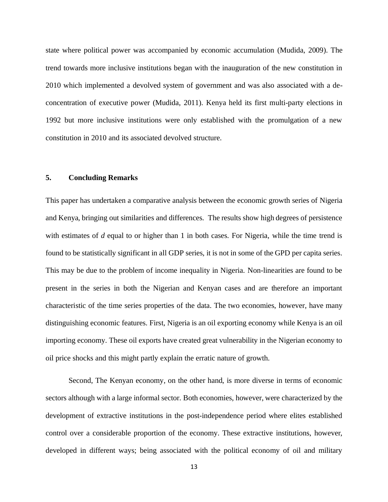state where political power was accompanied by economic accumulation (Mudida, 2009). The trend towards more inclusive institutions began with the inauguration of the new constitution in 2010 which implemented a devolved system of government and was also associated with a deconcentration of executive power (Mudida, 2011). Kenya held its first multi-party elections in 1992 but more inclusive institutions were only established with the promulgation of a new constitution in 2010 and its associated devolved structure.

# **5. Concluding Remarks**

This paper has undertaken a comparative analysis between the economic growth series of Nigeria and Kenya, bringing out similarities and differences. The results show high degrees of persistence with estimates of *d* equal to or higher than 1 in both cases. For Nigeria, while the time trend is found to be statistically significant in all GDP series, it is not in some of the GPD per capita series. This may be due to the problem of income inequality in Nigeria. Non-linearities are found to be present in the series in both the Nigerian and Kenyan cases and are therefore an important characteristic of the time series properties of the data. The two economies, however, have many distinguishing economic features. First, Nigeria is an oil exporting economy while Kenya is an oil importing economy. These oil exports have created great vulnerability in the Nigerian economy to oil price shocks and this might partly explain the erratic nature of growth.

Second, The Kenyan economy, on the other hand, is more diverse in terms of economic sectors although with a large informal sector. Both economies, however, were characterized by the development of extractive institutions in the post-independence period where elites established control over a considerable proportion of the economy. These extractive institutions, however, developed in different ways; being associated with the political economy of oil and military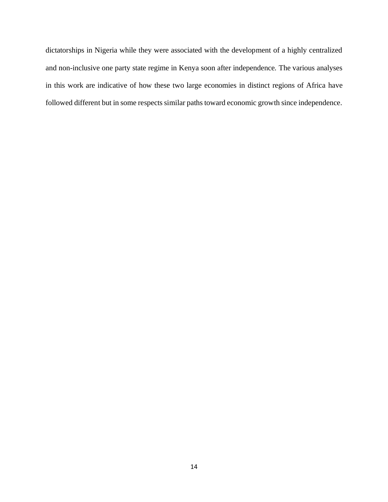dictatorships in Nigeria while they were associated with the development of a highly centralized and non-inclusive one party state regime in Kenya soon after independence. The various analyses in this work are indicative of how these two large economies in distinct regions of Africa have followed different but in some respects similar paths toward economic growth since independence.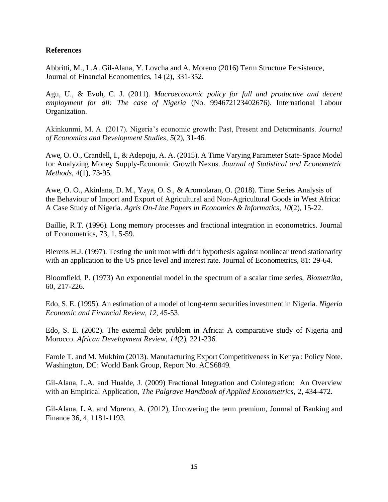# **References**

Abbritti, M., L.A. Gil-Alana, Y. Lovcha and A. Moreno (2016) Term Structure Persistence, Journal of Financial Econometrics, 14 (2), 331-352.

Agu, U., & Evoh, C. J. (2011). *Macroeconomic policy for full and productive and decent employment for all: The case of Nigeria* (No. 994672123402676). International Labour Organization.

Akinkunmi, M. A. (2017). Nigeria's economic growth: Past, Present and Determinants. *Journal of Economics and Development Studies*, *5*(2), 31-46.

Awe, O. O., Crandell, I., & Adepoju, A. A. (2015). A Time Varying Parameter State-Space Model for Analyzing Money Supply-Economic Growth Nexus. *Journal of Statistical and Econometric Methods*, *4*(1), 73-95.

Awe, O. O., Akinlana, D. M., Yaya, O. S., & Aromolaran, O. (2018). Time Series Analysis of the Behaviour of Import and Export of Agricultural and Non-Agricultural Goods in West Africa: A Case Study of Nigeria. *Agris On-Line Papers in Economics & Informatics*, *10*(2), 15-22.

Baillie, R.T. (1996). Long memory processes and fractional integration in econometrics. Journal of Econometrics, 73, 1, 5-59.

Bierens H.J. (1997). Testing the unit root with drift hypothesis against nonlinear trend stationarity with an application to the US price level and interest rate. Journal of Econometrics, 81: 29-64.

Bloomfield, P. (1973) An exponential model in the spectrum of a scalar time series, *Biometrika*, 60, 217-226.

Edo, S. E. (1995). An estimation of a model of long-term securities investment in Nigeria. *Nigeria Economic and Financial Review*, *12*, 45-53.

Edo, S. E. (2002). The external debt problem in Africa: A comparative study of Nigeria and Morocco. *African Development Review*, *14*(2), 221-236.

Farole T. and M. Mukhim (2013). Manufacturing Export Competitiveness in Kenya : Policy Note. Washington, DC: World Bank Group, Report No. ACS6849.

Gil-Alana, L.A. and Hualde, J. (2009) Fractional Integration and Cointegration: An Overview with an Empirical Application, *The Palgrave Handbook of Applied Econometrics,* 2, 434-472.

Gil-Alana, L.A. and Moreno, A. (2012), Uncovering the term premium, Journal of Banking and Finance 36, 4, 1181-1193.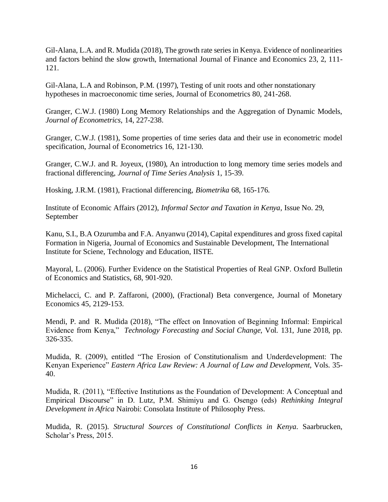Gil-Alana, L.A. and R. Mudida (2018), The growth rate series in Kenya. Evidence of nonlinearities and factors behind the slow growth, International Journal of Finance and Economics 23, 2, 111- 121.

Gil-Alana, L.A and Robinson, P.M. (1997), Testing of unit roots and other nonstationary hypotheses in macroeconomic time series, Journal of Econometrics 80, 241-268.

Granger, C.W.J. (1980) Long Memory Relationships and the Aggregation of Dynamic Models, *Journal of Econometrics*, 14, 227-238.

Granger, C.W.J. (1981), Some properties of time series data and their use in econometric model specification, Journal of Econometrics 16, 121-130.

Granger, C.W.J. and R. Joyeux, (1980), An introduction to long memory time series models and fractional differencing, *Journal of Time Series Analysis* 1, 15-39.

Hosking, J.R.M. (1981), Fractional differencing, *Biometrika* 68, 165-176.

Institute of Economic Affairs (2012), *Informal Sector and Taxation in Kenya*, Issue No. 29, September

Kanu, S.I., B.A Ozurumba and F.A. Anyanwu (2014), Capital expenditures and gross fixed capital Formation in Nigeria, Journal of Economics and Sustainable Development, The International Institute for Sciene, Technology and Education, IISTE.

Mayoral, L. (2006). Further Evidence on the Statistical Properties of Real GNP. Oxford Bulletin of Economics and Statistics, 68, 901-920.

Michelacci, C. and P. Zaffaroni, (2000), (Fractional) Beta convergence, Journal of Monetary Economics 45, 2129-153.

Mendi, P. and R. Mudida (2018), "The effect on Innovation of Beginning Informal: Empirical Evidence from Kenya," *Technology Forecasting and Social Change*, Vol. 131, June 2018, pp. 326-335.

Mudida, R. (2009), entitled "The Erosion of Constitutionalism and Underdevelopment: The Kenyan Experience" *Eastern Africa Law Review: A Journal of Law and Development*, Vols. 35- 40.

Mudida, R. (2011), "Effective Institutions as the Foundation of Development: A Conceptual and Empirical Discourse" in D. Lutz, P.M. Shimiyu and G. Osengo (eds) *Rethinking Integral Development in Africa* Nairobi: Consolata Institute of Philosophy Press.

Mudida, R. (2015). *Structural Sources of Constitutional Conflicts in Kenya*. Saarbrucken, Scholar's Press, 2015.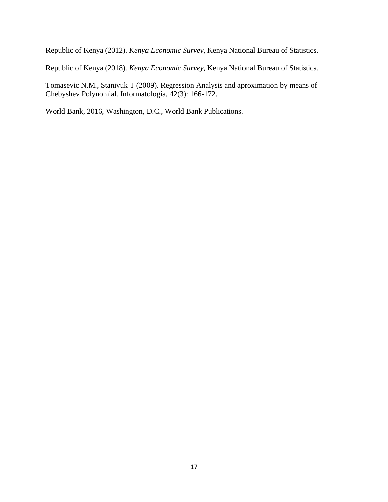Republic of Kenya (2012). *Kenya Economic Survey*, Kenya National Bureau of Statistics.

Republic of Kenya (2018). *Kenya Economic Survey*, Kenya National Bureau of Statistics.

Tomasevic N.M., Stanivuk T (2009). Regression Analysis and aproximation by means of Chebyshev Polynomial. Informatologia, 42(3): 166-172.

World Bank, 2016, Washington, D.C., World Bank Publications.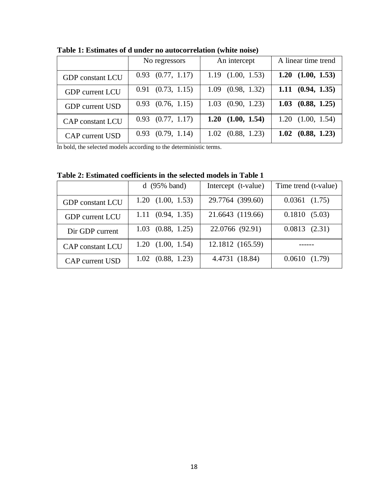|                         | No regressors         | An intercept          | A linear time trend       |  |
|-------------------------|-----------------------|-----------------------|---------------------------|--|
| <b>GDP</b> constant LCU | $0.93$ $(0.77, 1.17)$ | $1.19$ $(1.00, 1.53)$ | 1.20 $(1.00, 1.53)$       |  |
| <b>GDP</b> current LCU  | $0.91$ $(0.73, 1.15)$ | $1.09$ $(0.98, 1.32)$ | $1.11 \t(0.94, 1.35)$     |  |
| <b>GDP</b> current USD  | $0.93$ $(0.76, 1.15)$ | $1.03$ $(0.90, 1.23)$ | 1.03 $(0.88, 1.25)$       |  |
| <b>CAP</b> constant LCU | $0.93$ $(0.77, 1.17)$ | $1.20$ $(1.00, 1.54)$ | $1.20$ $(1.00, 1.54)$     |  |
| <b>CAP</b> current USD  | $0.93$ $(0.79, 1.14)$ | $1.02$ $(0.88, 1.23)$ | $1.02 \quad (0.88, 1.23)$ |  |

**Table 1: Estimates of d under no autocorrelation (white noise)**

In bold, the selected models according to the deterministic terms.

**Table 2: Estimated coefficients in the selected models in Table 1**

|                         | $d(95\% band)$            | Intercept (t-value) | Time trend (t-value) |  |
|-------------------------|---------------------------|---------------------|----------------------|--|
| <b>GDP</b> constant LCU | $1.20$ $(1.00, 1.53)$     | 29.7764 (399.60)    | $0.0361$ $(1.75)$    |  |
| <b>GDP</b> current LCU  | $1.11 \quad (0.94, 1.35)$ | 21.6643 (119.66)    | 0.1810(5.03)         |  |
| Dir GDP current         | $1.03$ $(0.88, 1.25)$     | 22.0766 (92.91)     | 0.0813(2.31)         |  |
| <b>CAP</b> constant LCU | $1.20$ $(1.00, 1.54)$     | 12.1812 (165.59)    |                      |  |
| <b>CAP</b> current USD  | $1.02$ $(0.88, 1.23)$     | 4.4731 (18.84)      | 0.0610(1.79)         |  |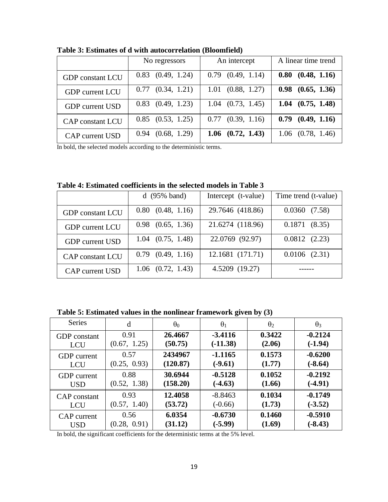|                         | No regressors         | An intercept          | A linear time trend   |  |
|-------------------------|-----------------------|-----------------------|-----------------------|--|
| <b>GDP</b> constant LCU | $0.83$ $(0.49, 1.24)$ | $0.79$ $(0.49, 1.14)$ | $0.80$ $(0.48, 1.16)$ |  |
| <b>GDP</b> current LCU  | $0.77$ $(0.34, 1.21)$ | $1.01$ $(0.88, 1.27)$ | $0.98$ $(0.65, 1.36)$ |  |
| <b>GDP</b> current USD  | $0.83$ $(0.49, 1.23)$ | $1.04$ $(0.73, 1.45)$ | $1.04$ $(0.75, 1.48)$ |  |
| <b>CAP</b> constant LCU | $0.85$ $(0.53, 1.25)$ | $0.77$ $(0.39, 1.16)$ | $0.79$ $(0.49, 1.16)$ |  |
| <b>CAP</b> current USD  | $0.94$ $(0.68, 1.29)$ | $1.06$ $(0.72, 1.43)$ | $1.06$ $(0.78, 1.46)$ |  |

**Table 3: Estimates of d with autocorrelation (Bloomfield)**

In bold, the selected models according to the deterministic terms.

**Table 4: Estimated coefficients in the selected models in Table 3**

|                         | $d(95\% band)$        | Intercept (t-value) | Time trend (t-value) |  |
|-------------------------|-----------------------|---------------------|----------------------|--|
| <b>GDP</b> constant LCU | $0.80$ $(0.48, 1.16)$ | 29.7646 (418.86)    | 0.0360(7.58)         |  |
| <b>GDP</b> current LCU  | $0.98$ $(0.65, 1.36)$ | 21.6274 (118.96)    | 0.1871(8.35)         |  |
| <b>GDP</b> current USD  | $1.04$ $(0.75, 1.48)$ | 22.0769 (92.97)     | 0.0812(2.23)         |  |
| <b>CAP</b> constant LCU | $0.79$ $(0.49, 1.16)$ | 12.1681 (171.71)    | $0.0106$ $(2.31)$    |  |
| <b>CAP</b> current USD  | $1.06$ $(0.72, 1.43)$ | 4.5209 (19.27)      |                      |  |

**Table 5: Estimated values in the nonlinear framework given by (3)**

| <b>Series</b>       | d            | $\theta_0$ | $\theta_1$ | $\theta_2$ | $\theta_3$ |
|---------------------|--------------|------------|------------|------------|------------|
| <b>GDP</b> constant | 0.91         | 26.4667    | $-3.4116$  | 0.3422     | $-0.2124$  |
| <b>LCU</b>          | (0.67, 1.25) | (50.75)    | $(-11.38)$ | (2.06)     | $(-1.94)$  |
| <b>GDP</b> current  | 0.57         | 2434967    | $-1.1165$  | 0.1573     | $-0.6200$  |
| <b>LCU</b>          | (0.25, 0.93) | (120.87)   | $(-9.61)$  | (1.77)     | $(-8.64)$  |
| <b>GDP</b> current  | 0.88         | 30.6944    | $-0.5128$  | 0.1052     | $-0.2192$  |
| <b>USD</b>          | (0.52, 1.38) | (158.20)   | $(-4.63)$  | (1.66)     | $(-4.91)$  |
| CAP constant        | 0.93         | 12.4058    | $-8.8463$  | 0.1034     | $-0.1749$  |
| <b>LCU</b>          | (0.57, 1.40) | (53.72)    | $(-0.66)$  | (1.73)     | $(-3.52)$  |
| CAP current         | 0.56         | 6.0354     | $-0.6730$  | 0.1460     | $-0.5910$  |
| <b>USD</b>          | (0.28, 0.91) | (31.12)    | $(-5.99)$  | (1.69)     | $(-8.43)$  |

In bold, the significant coefficients for the deterministic terms at the 5% level.